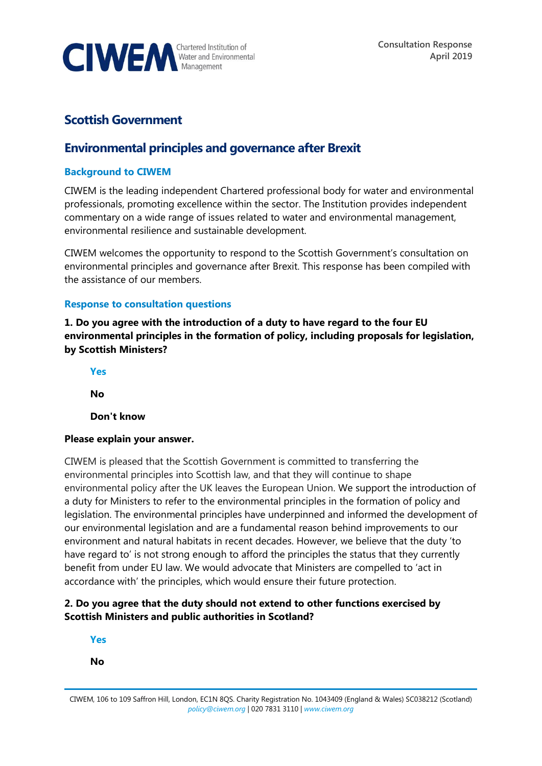

# **Scottish Government**

# **Environmental principles and governance after Brexit**

### **Background to CIWEM**

CIWEM is the leading independent Chartered professional body for water and environmental professionals, promoting excellence within the sector. The Institution provides independent commentary on a wide range of issues related to water and environmental management, environmental resilience and sustainable development.

CIWEM welcomes the opportunity to respond to the Scottish Government's consultation on environmental principles and governance after Brexit. This response has been compiled with the assistance of our members.

### **Response to consultation questions**

**1. Do you agree with the introduction of a duty to have regard to the four EU environmental principles in the formation of policy, including proposals for legislation, by Scottish Ministers?**

**Yes**

**No**

**Don't know**

### **Please explain your answer.**

CIWEM is pleased that the Scottish Government is committed to transferring the environmental principles into Scottish law, and that they will continue to shape environmental policy after the UK leaves the European Union. We support the introduction of a duty for Ministers to refer to the environmental principles in the formation of policy and legislation. The environmental principles have underpinned and informed the development of our environmental legislation and are a fundamental reason behind improvements to our environment and natural habitats in recent decades. However, we believe that the duty 'to have regard to' is not strong enough to afford the principles the status that they currently benefit from under EU law. We would advocate that Ministers are compelled to 'act in accordance with' the principles, which would ensure their future protection.

# **2. Do you agree that the duty should not extend to other functions exercised by Scottish Ministers and public authorities in Scotland?**

**Yes**

**No**

CIWEM, 106 to 109 Saffron Hill, London, EC1N 8QS. Charity Registration No. 1043409 (England & Wales) SC038212 (Scotland) *[policy@ciwem.org](mailto:policy@ciwem.org)* | 020 7831 3110 | *[www.ciwem.org](http://www.ciwem.org/)*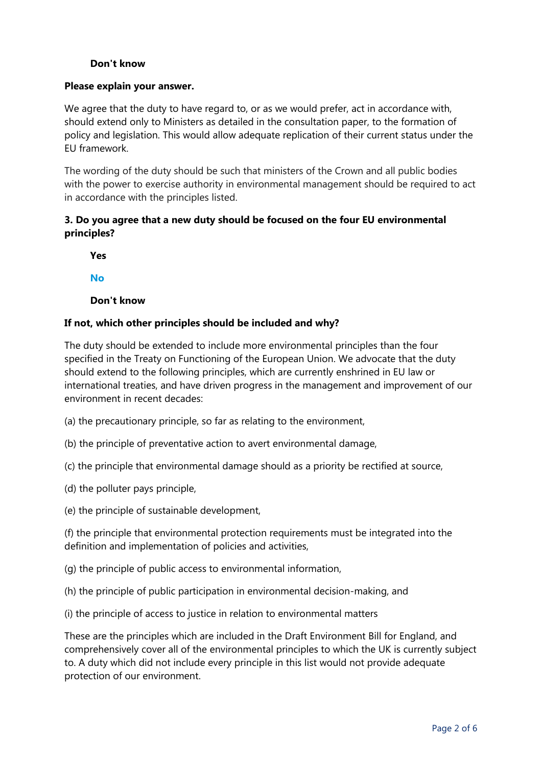### **Don't know**

#### **Please explain your answer.**

We agree that the duty to have regard to, or as we would prefer, act in accordance with, should extend only to Ministers as detailed in the consultation paper, to the formation of policy and legislation. This would allow adequate replication of their current status under the EU framework.

The wording of the duty should be such that ministers of the Crown and all public bodies with the power to exercise authority in environmental management should be required to act in accordance with the principles listed.

## **3. Do you agree that a new duty should be focused on the four EU environmental principles?**

**Yes**

**No**

**Don't know**

### **If not, which other principles should be included and why?**

The duty should be extended to include more environmental principles than the four specified in the Treaty on Functioning of the European Union. We advocate that the duty should extend to the following principles, which are currently enshrined in EU law or international treaties, and have driven progress in the management and improvement of our environment in recent decades:

- (a) the precautionary principle, so far as relating to the environment,
- (b) the principle of preventative action to avert environmental damage,
- (c) the principle that environmental damage should as a priority be rectified at source,
- (d) the polluter pays principle,
- (e) the principle of sustainable development,

(f) the principle that environmental protection requirements must be integrated into the definition and implementation of policies and activities,

- (g) the principle of public access to environmental information,
- (h) the principle of public participation in environmental decision-making, and
- (i) the principle of access to justice in relation to environmental matters

These are the principles which are included in the Draft Environment Bill for England, and comprehensively cover all of the environmental principles to which the UK is currently subject to. A duty which did not include every principle in this list would not provide adequate protection of our environment.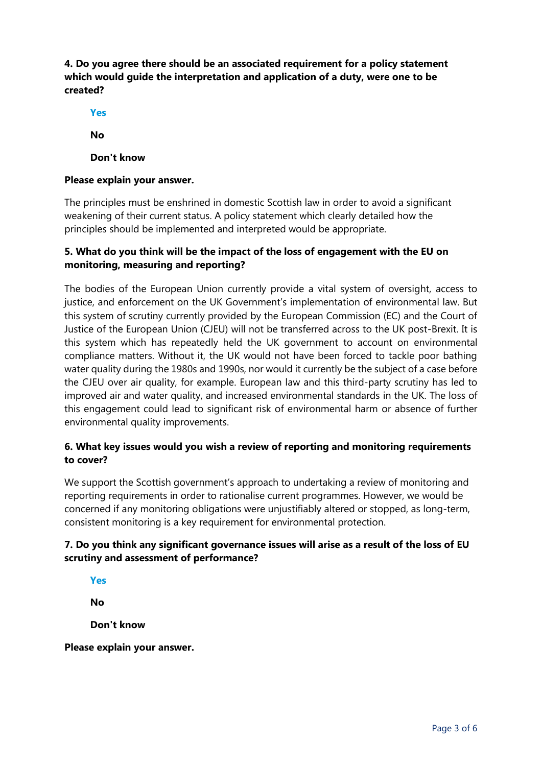# **4. Do you agree there should be an associated requirement for a policy statement which would guide the interpretation and application of a duty, were one to be created?**

**Yes**

**No**

**Don't know**

### **Please explain your answer.**

The principles must be enshrined in domestic Scottish law in order to avoid a significant weakening of their current status. A policy statement which clearly detailed how the principles should be implemented and interpreted would be appropriate.

# **5. What do you think will be the impact of the loss of engagement with the EU on monitoring, measuring and reporting?**

The bodies of the European Union currently provide a vital system of oversight, access to justice, and enforcement on the UK Government's implementation of environmental law. But this system of scrutiny currently provided by the European Commission (EC) and the Court of Justice of the European Union (CJEU) will not be transferred across to the UK post-Brexit. It is this system which has repeatedly held the UK government to account on environmental compliance matters. Without it, the UK would not have been forced to tackle poor bathing water quality during the 1980s and 1990s, nor would it currently be the subject of a case before the CJEU over air quality, for example. European law and this third-party scrutiny has led to improved air and water quality, and increased environmental standards in the UK. The loss of this engagement could lead to significant risk of environmental harm or absence of further environmental quality improvements.

# **6. What key issues would you wish a review of reporting and monitoring requirements to cover?**

We support the Scottish government's approach to undertaking a review of monitoring and reporting requirements in order to rationalise current programmes. However, we would be concerned if any monitoring obligations were unjustifiably altered or stopped, as long-term, consistent monitoring is a key requirement for environmental protection.

# **7. Do you think any significant governance issues will arise as a result of the loss of EU scrutiny and assessment of performance?**

**Yes**

**No**

**Don't know**

**Please explain your answer.**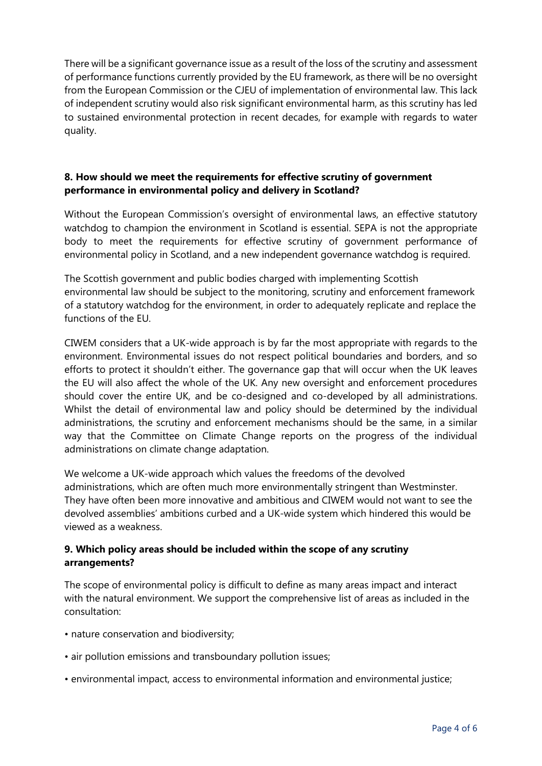There will be a significant governance issue as a result of the loss of the scrutiny and assessment of performance functions currently provided by the EU framework, as there will be no oversight from the European Commission or the CJEU of implementation of environmental law. This lack of independent scrutiny would also risk significant environmental harm, as this scrutiny has led to sustained environmental protection in recent decades, for example with regards to water quality.

## **8. How should we meet the requirements for effective scrutiny of government performance in environmental policy and delivery in Scotland?**

Without the European Commission's oversight of environmental laws, an effective statutory watchdog to champion the environment in Scotland is essential. SEPA is not the appropriate body to meet the requirements for effective scrutiny of government performance of environmental policy in Scotland, and a new independent governance watchdog is required.

The Scottish government and public bodies charged with implementing Scottish environmental law should be subject to the monitoring, scrutiny and enforcement framework of a statutory watchdog for the environment, in order to adequately replicate and replace the functions of the EU.

CIWEM considers that a UK-wide approach is by far the most appropriate with regards to the environment. Environmental issues do not respect political boundaries and borders, and so efforts to protect it shouldn't either. The governance gap that will occur when the UK leaves the EU will also affect the whole of the UK. Any new oversight and enforcement procedures should cover the entire UK, and be co-designed and co-developed by all administrations. Whilst the detail of environmental law and policy should be determined by the individual administrations, the scrutiny and enforcement mechanisms should be the same, in a similar way that the Committee on Climate Change reports on the progress of the individual administrations on climate change adaptation.

We welcome a UK-wide approach which values the freedoms of the devolved administrations, which are often much more environmentally stringent than Westminster. They have often been more innovative and ambitious and CIWEM would not want to see the devolved assemblies' ambitions curbed and a UK-wide system which hindered this would be viewed as a weakness.

# **9. Which policy areas should be included within the scope of any scrutiny arrangements?**

The scope of environmental policy is difficult to define as many areas impact and interact with the natural environment. We support the comprehensive list of areas as included in the consultation:

- nature conservation and biodiversity;
- air pollution emissions and transboundary pollution issues;
- environmental impact, access to environmental information and environmental justice;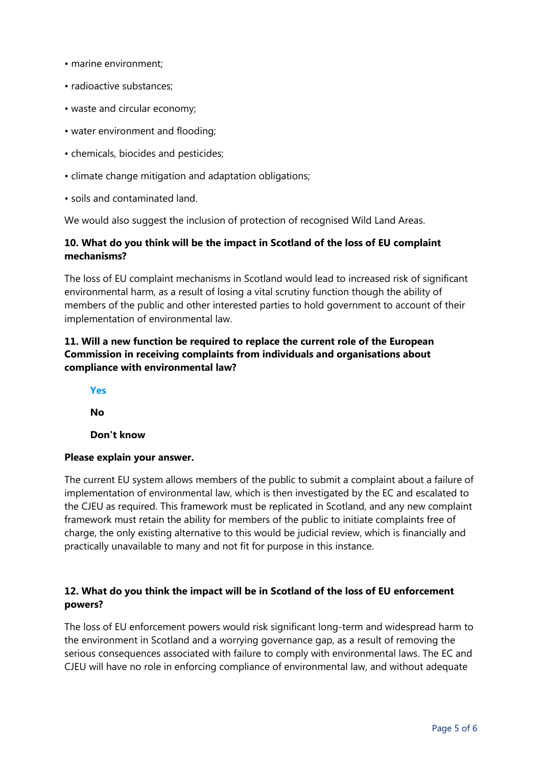- marine environment;
- radioactive substances;
- waste and circular economy;
- water environment and flooding;
- chemicals, biocides and pesticides;
- climate change mitigation and adaptation obligations;
- soils and contaminated land.

We would also suggest the inclusion of protection of recognised Wild Land Areas.

# **10. What do you think will be the impact in Scotland of the loss of EU complaint mechanisms?**

The loss of EU complaint mechanisms in Scotland would lead to increased risk of significant environmental harm, as a result of losing a vital scrutiny function though the ability of members of the public and other interested parties to hold government to account of their implementation of environmental law.

# **11. Will a new function be required to replace the current role of the European Commission in receiving complaints from individuals and organisations about compliance with environmental law?**

**Yes**

**No**

**Don't know**

### **Please explain your answer.**

The current EU system allows members of the public to submit a complaint about a failure of implementation of environmental law, which is then investigated by the EC and escalated to the CJEU as required. This framework must be replicated in Scotland, and any new complaint framework must retain the ability for members of the public to initiate complaints free of charge, the only existing alternative to this would be judicial review, which is financially and practically unavailable to many and not fit for purpose in this instance.

# **12. What do you think the impact will be in Scotland of the loss of EU enforcement powers?**

The loss of EU enforcement powers would risk significant long-term and widespread harm to the environment in Scotland and a worrying governance gap, as a result of removing the serious consequences associated with failure to comply with environmental laws. The EC and CJEU will have no role in enforcing compliance of environmental law, and without adequate